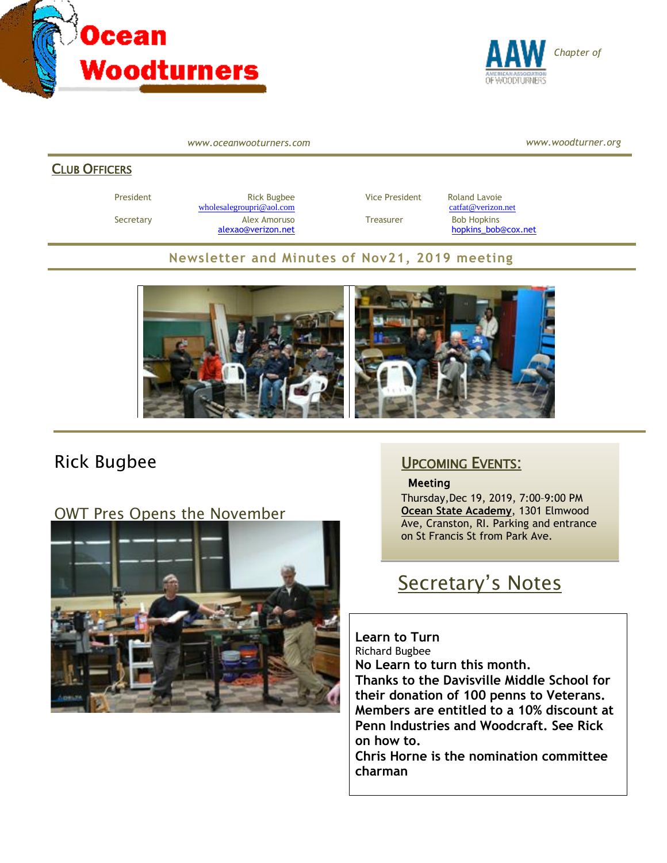



*www.oceanwooturners.com*

*www.woodturner.org*

#### CLUB OFFICERS

President **Rick Bugbee Rick Bugbee** Vice President Roland Lavoie [wholesalegroupri@aol.com](mailto:wholesalegroupri@aol.com) [catfat@verizon.net](mailto:catfat@verizon.net) Secretary **Alex Amoruso** Treasurer Bob Hopkins

[alexao@verizon.net](mailto:alexao@verizon.net) [hopkins\\_bob@cox.net](mailto:hopkins_bob@cox.net)

#### **Newsletter and Minutes of Nov21, 2019 meeting**



## Rick Bugbee

OWT Pres Opens the November



### UPCOMING EVENTS:

#### **Meeting**

Thursday,Dec 19, 2019, 7:00–9:00 PM **Ocean State Academy**, 1301 Elmwood Ave, Cranston, RI. Parking and entrance on St Francis St from Park Ave.

# Secretary's Notes

**Learn to Turn** Richard Bugbee **No Learn to turn this month. Thanks to the Davisville Middle School for their donation of 100 penns to Veterans. Members are entitled to a 10% discount at Penn Industries and Woodcraft. See Rick on how to.** 

**Chris Horne is the nomination committee charman**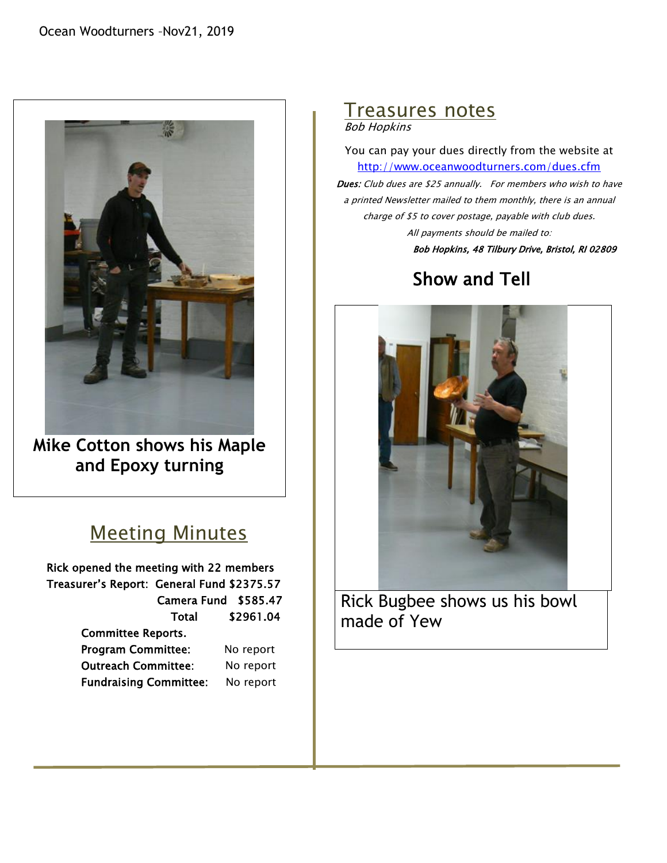

**Mike Cotton shows his Maple and Epoxy turning**

## Meeting Minutes

Rick opened the meeting with 22 members Treasurer's Report: General Fund \$2375.57 Camera Fund \$585.47 Total \$2961.04 Committee Reports. Program Committee: No report Outreach Committee: No report Fundraising Committee: No report

# Treasures notes

Bob Hopkins

You can pay your dues directly from the website at <http://www.oceanwoodturners.com/dues.cfm> Dues: Club dues are \$25 annually. For members who wish to have a printed Newsletter mailed to them monthly, there is an annual charge of \$5 to cover postage, payable with club dues.

All payments should be mailed to:

Bob Hopkins, 48 Tilbury Drive, Bristol, RI 02809

# Show and Tell



Rick Bugbee shows us his bowl made of Yew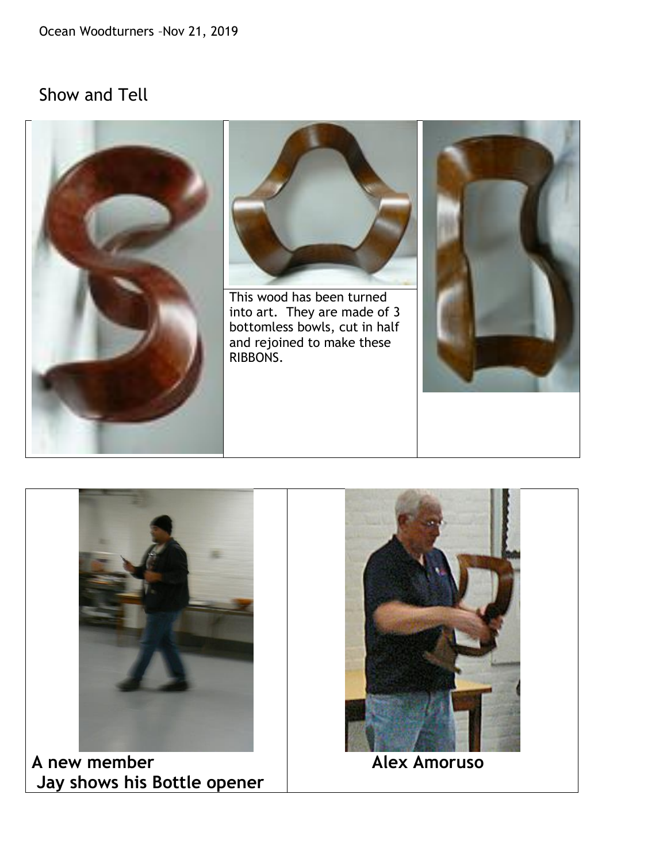## Show and Tell





**A new member Jay shows his Bottle opener**



 **Alex Amoruso**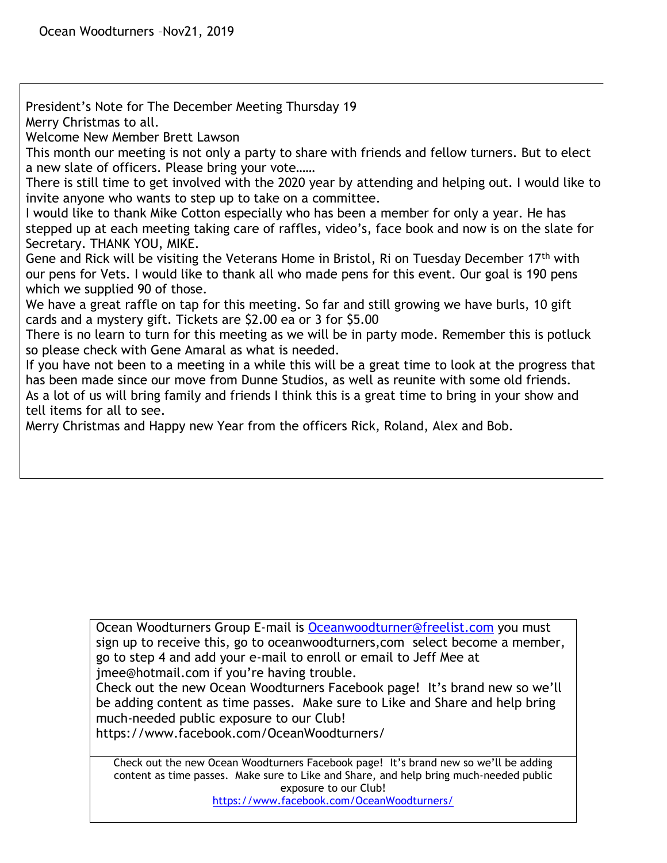President's Note for The December Meeting Thursday 19 Merry Christmas to all.

Welcome New Member Brett Lawson

This month our meeting is not only a party to share with friends and fellow turners. But to elect a new slate of officers. Please bring your vote……

There is still time to get involved with the 2020 year by attending and helping out. I would like to invite anyone who wants to step up to take on a committee.

I would like to thank Mike Cotton especially who has been a member for only a year. He has stepped up at each meeting taking care of raffles, video's, face book and now is on the slate for Secretary. THANK YOU, MIKE.

Gene and Rick will be visiting the Veterans Home in Bristol, Ri on Tuesday December  $17<sup>th</sup>$  with our pens for Vets. I would like to thank all who made pens for this event. Our goal is 190 pens which we supplied 90 of those.

We have a great raffle on tap for this meeting. So far and still growing we have burls, 10 gift cards and a mystery gift. Tickets are \$2.00 ea or 3 for \$5.00

There is no learn to turn for this meeting as we will be in party mode. Remember this is potluck so please check with Gene Amaral as what is needed.

If you have not been to a meeting in a while this will be a great time to look at the progress that has been made since our move from Dunne Studios, as well as reunite with some old friends. As a lot of us will bring family and friends I think this is a great time to bring in your show and tell items for all to see.

Merry Christmas and Happy new Year from the officers Rick, Roland, Alex and Bob.

Ocean Woodturners Group E-mail is [Oceanwoodturner@freelist.com](mailto:Oceanwoodturner@freelist.com) you must sign up to receive this, go to oceanwoodturners,com select become a member, go to step 4 and add your e-mail to enroll or email to Jeff Mee at jmee@hotmail.com if you're having trouble.

Check out the new Ocean Woodturners Facebook page! It's brand new so we'll be adding content as time passes. Make sure to Like and Share and help bring much-needed public exposure to our Club!

https://www.facebook.com/OceanWoodturners/

Check out the new Ocean Woodturners Facebook page! It's brand new so we'll be adding content as time passes. Make sure to Like and Share, and help bring much-needed public exposure to our Club!

<https://www.facebook.com/OceanWoodturners/>